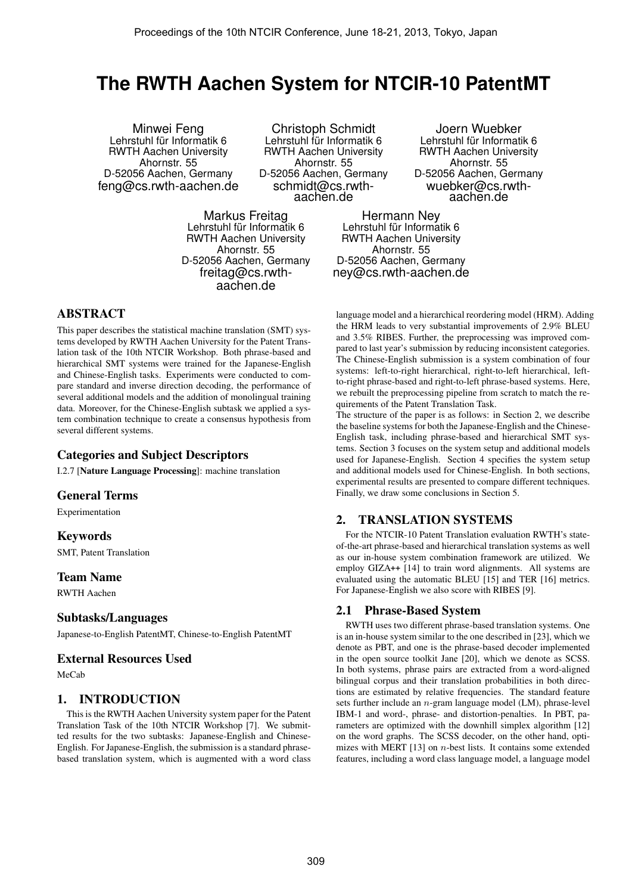# **The RWTH Aachen System for NTCIR-10 PatentMT**

Minwei Feng Lehrstuhl für Informatik 6 RWTH Aachen University Ahornstr. 55 D-52056 Aachen, Germany feng@cs.rwth-aachen.de

Christoph Schmidt Lehrstuhl für Informatik 6 RWTH Aachen University Ahornstr. 55 D-52056 Aachen, Germany schmidt@cs.rwthaachen.de

Markus Freitag Lehrstuhl für Informatik 6 RWTH Aachen University Ahornstr. 55 D-52056 Aachen, Germany freitag@cs.rwthaachen.de

Joern Wuebker Lehrstuhl für Informatik 6 RWTH Aachen University Ahornstr. 55 D-52056 Aachen, Germany wuebker@cs.rwthaachen.de

Hermann Ney Lehrstuhl für Informatik 6 RWTH Aachen University Ahornstr. 55 D-52056 Aachen, Germany ney@cs.rwth-aachen.de

# ABSTRACT

This paper describes the statistical machine translation (SMT) systems developed by RWTH Aachen University for the Patent Translation task of the 10th NTCIR Workshop. Both phrase-based and hierarchical SMT systems were trained for the Japanese-English and Chinese-English tasks. Experiments were conducted to compare standard and inverse direction decoding, the performance of several additional models and the addition of monolingual training data. Moreover, for the Chinese-English subtask we applied a system combination technique to create a consensus hypothesis from several different systems.

# Categories and Subject Descriptors

I.2.7 [Nature Language Processing]: machine translation

## General Terms

Experimentation

## Keywords

SMT, Patent Translation

#### Team Name

RWTH Aachen

#### Subtasks/Languages

Japanese-to-English PatentMT, Chinese-to-English PatentMT

## External Resources Used

MeCab

## 1. INTRODUCTION

This is the RWTH Aachen University system paper for the Patent Translation Task of the 10th NTCIR Workshop [7]. We submitted results for the two subtasks: Japanese-English and Chinese-English. For Japanese-English, the submission is a standard phrasebased translation system, which is augmented with a word class

language model and a hierarchical reordering model (HRM). Adding the HRM leads to very substantial improvements of 2.9% BLEU and 3.5% RIBES. Further, the preprocessing was improved compared to last year's submission by reducing inconsistent categories. The Chinese-English submission is a system combination of four systems: left-to-right hierarchical, right-to-left hierarchical, leftto-right phrase-based and right-to-left phrase-based systems. Here, we rebuilt the preprocessing pipeline from scratch to match the requirements of the Patent Translation Task.

The structure of the paper is as follows: in Section 2, we describe the baseline systems for both the Japanese-English and the Chinese-English task, including phrase-based and hierarchical SMT systems. Section 3 focuses on the system setup and additional models used for Japanese-English. Section 4 specifies the system setup and additional models used for Chinese-English. In both sections, experimental results are presented to compare different techniques. Finally, we draw some conclusions in Section 5.

# 2. TRANSLATION SYSTEMS

For the NTCIR-10 Patent Translation evaluation RWTH's stateof-the-art phrase-based and hierarchical translation systems as well as our in-house system combination framework are utilized. We employ GIZA<sup>++</sup> [14] to train word alignments. All systems are evaluated using the automatic BLEU [15] and TER [16] metrics. For Japanese-English we also score with RIBES [9].

#### 2.1 Phrase-Based System

RWTH uses two different phrase-based translation systems. One is an in-house system similar to the one described in [23], which we denote as PBT, and one is the phrase-based decoder implemented in the open source toolkit Jane [20], which we denote as SCSS. In both systems, phrase pairs are extracted from a word-aligned bilingual corpus and their translation probabilities in both directions are estimated by relative frequencies. The standard feature sets further include an  $n$ -gram language model (LM), phrase-level IBM-1 and word-, phrase- and distortion-penalties. In PBT, parameters are optimized with the downhill simplex algorithm [12] on the word graphs. The SCSS decoder, on the other hand, optimizes with MERT  $[13]$  on *n*-best lists. It contains some extended features, including a word class language model, a language model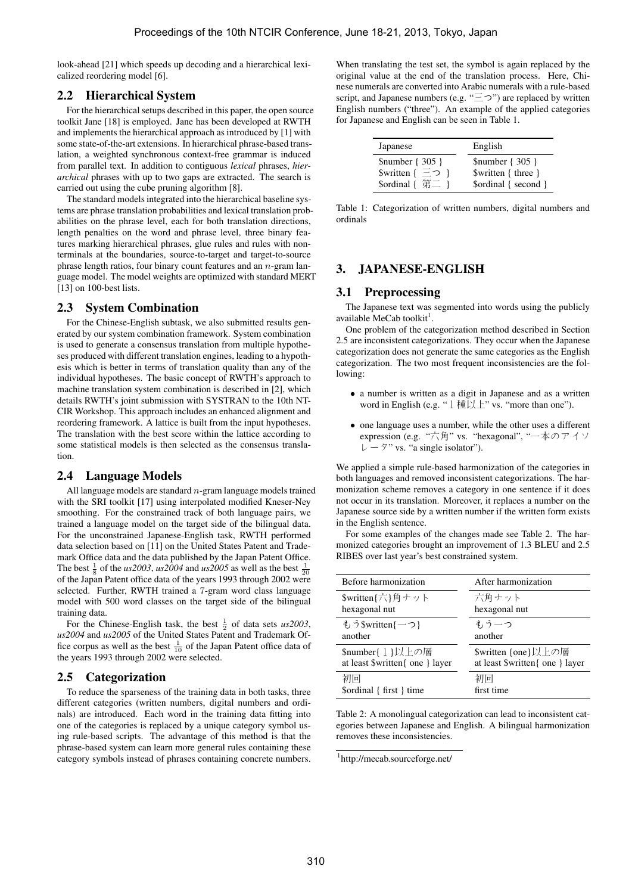look-ahead [21] which speeds up decoding and a hierarchical lexicalized reordering model [6].

#### 2.2 Hierarchical System

For the hierarchical setups described in this paper, the open source toolkit Jane [18] is employed. Jane has been developed at RWTH and implements the hierarchical approach as introduced by [1] with some state-of-the-art extensions. In hierarchical phrase-based translation, a weighted synchronous context-free grammar is induced from parallel text. In addition to contiguous *lexical* phrases, *hierarchical* phrases with up to two gaps are extracted. The search is carried out using the cube pruning algorithm [8].

The standard models integrated into the hierarchical baseline systems are phrase translation probabilities and lexical translation probabilities on the phrase level, each for both translation directions, length penalties on the word and phrase level, three binary features marking hierarchical phrases, glue rules and rules with nonterminals at the boundaries, source-to-target and target-to-source phrase length ratios, four binary count features and an  $n$ -gram language model. The model weights are optimized with standard MERT [13] on 100-best lists.

#### 2.3 System Combination

For the Chinese-English subtask, we also submitted results generated by our system combination framework. System combination is used to generate a consensus translation from multiple hypotheses produced with different translation engines, leading to a hypothesis which is better in terms of translation quality than any of the individual hypotheses. The basic concept of RWTH's approach to machine translation system combination is described in [2], which details RWTH's joint submission with SYSTRAN to the 10th NT-CIR Workshop. This approach includes an enhanced alignment and reordering framework. A lattice is built from the input hypotheses. The translation with the best score within the lattice according to some statistical models is then selected as the consensus translation.

## 2.4 Language Models

All language models are standard n-gram language models trained with the SRI toolkit [17] using interpolated modified Kneser-Ney smoothing. For the constrained track of both language pairs, we trained a language model on the target side of the bilingual data. For the unconstrained Japanese-English task, RWTH performed data selection based on [11] on the United States Patent and Trademark Office data and the data published by the Japan Patent Office. The best  $\frac{1}{8}$  of the *us*2003, *us*2004 and *us*2005 as well as the best  $\frac{1}{20}$ of the Japan Patent office data of the years 1993 through 2002 were selected. Further, RWTH trained a 7-gram word class language model with 500 word classes on the target side of the bilingual training data.

For the Chinese-English task, the best  $\frac{1}{2}$  of data sets *us2003*, *us2004* and *us2005* of the United States Patent and Trademark Office corpus as well as the best  $\frac{1}{10}$  of the Japan Patent office data of the years 1993 through 2002 were selected.

## 2.5 Categorization

To reduce the sparseness of the training data in both tasks, three different categories (written numbers, digital numbers and ordinals) are introduced. Each word in the training data fitting into one of the categories is replaced by a unique category symbol using rule-based scripts. The advantage of this method is that the phrase-based system can learn more general rules containing these category symbols instead of phrases containing concrete numbers.

When translating the test set, the symbol is again replaced by the original value at the end of the translation process. Here, Chinese numerals are converted into Arabic numerals with a rule-based script, and Japanese numbers (e.g. " $\equiv \supset$ ") are replaced by written English numbers ("three"). An example of the applied categories for Japanese and English can be seen in Table 1.

| Japanese              | English              |
|-----------------------|----------------------|
| $$number {305}$       | $$number {305 }$     |
| Swritten $\{-\supset$ | $$written { three }$ |
| \$ordinal {           | \$ordinal { second } |

Table 1: Categorization of written numbers, digital numbers and ordinals

#### 3. JAPANESE-ENGLISH

#### 3.1 Preprocessing

The Japanese text was segmented into words using the publicly available MeCab toolkit<sup>1</sup>.

One problem of the categorization method described in Section 2.5 are inconsistent categorizations. They occur when the Japanese categorization does not generate the same categories as the English categorization. The two most frequent inconsistencies are the following:

- a number is written as a digit in Japanese and as a written word in English (e.g. " $1 \frac{\text{H}}{\text{L}} \times \text{v}$  ws. "more than one").
- one language uses a number, while the other uses a different expression (e.g. "六角" vs. "hexagonal", "一本のアイソ  $\nu - \frac{1}{2}$ " vs. "a single isolator").

We applied a simple rule-based harmonization of the categories in both languages and removed inconsistent categorizations. The harmonization scheme removes a category in one sentence if it does not occur in its translation. Moreover, it replaces a number on the Japanese source side by a written number if the written form exists in the English sentence.

For some examples of the changes made see Table 2. The harmonized categories brought an improvement of 1.3 BLEU and 2.5 RIBES over last year's best constrained system.

| Before harmonization            | After harmonization             |
|---------------------------------|---------------------------------|
| \$written{六}角ナット                | 六角ナット                           |
| hexagonal nut                   | hexagonal nut                   |
| もうSwritten{一つ}                  | もう一つ                            |
| another                         | another                         |
| \$number{1}以上の層                 | \$written {one}以上の層             |
| at least \$written{ one } layer | at least \$written{ one } layer |
| 初回                              | 初回                              |
| \$ordinal { first } time        | first time                      |

Table 2: A monolingual categorization can lead to inconsistent categories between Japanese and English. A bilingual harmonization removes these inconsistencies.

<sup>1</sup> http://mecab.sourceforge.net/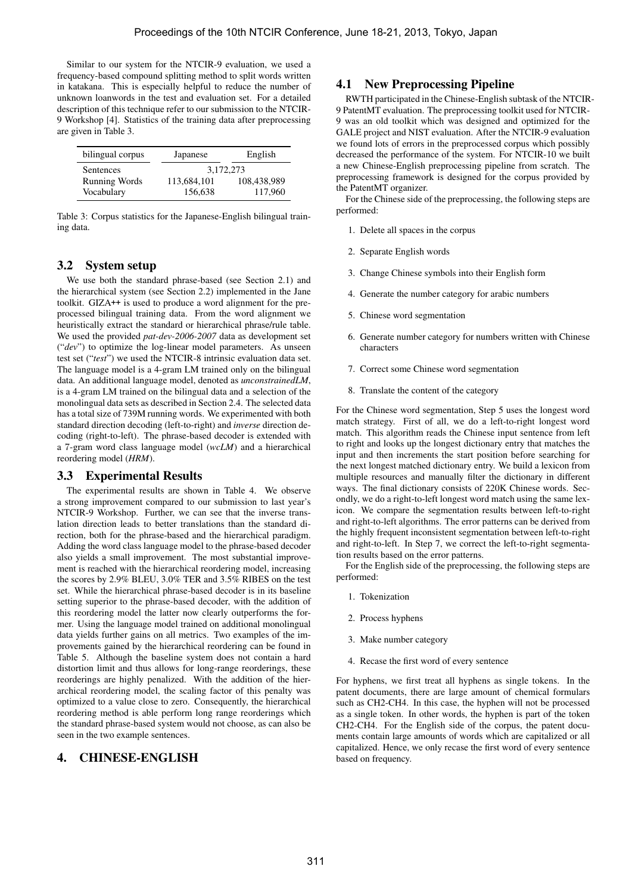Similar to our system for the NTCIR-9 evaluation, we used a frequency-based compound splitting method to split words written in katakana. This is especially helpful to reduce the number of unknown loanwords in the test and evaluation set. For a detailed description of this technique refer to our submission to the NTCIR-9 Workshop [4]. Statistics of the training data after preprocessing are given in Table 3.

| bilingual corpus     | Japanese    | English     |  |  |
|----------------------|-------------|-------------|--|--|
| Sentences            | 3,172,273   |             |  |  |
| <b>Running Words</b> | 113,684,101 | 108,438,989 |  |  |
| Vocabulary           | 156,638     | 117,960     |  |  |

Table 3: Corpus statistics for the Japanese-English bilingual training data.

#### 3.2 System setup

We use both the standard phrase-based (see Section 2.1) and the hierarchical system (see Section 2.2) implemented in the Jane toolkit. GIZA++ is used to produce a word alignment for the preprocessed bilingual training data. From the word alignment we heuristically extract the standard or hierarchical phrase/rule table. We used the provided *pat-dev-2006-2007* data as development set ("*dev*") to optimize the log-linear model parameters. As unseen test set ("*test*") we used the NTCIR-8 intrinsic evaluation data set. The language model is a 4-gram LM trained only on the bilingual data. An additional language model, denoted as *unconstrainedLM*, is a 4-gram LM trained on the bilingual data and a selection of the monolingual data sets as described in Section 2.4. The selected data has a total size of 739M running words. We experimented with both standard direction decoding (left-to-right) and *inverse* direction decoding (right-to-left). The phrase-based decoder is extended with a 7-gram word class language model (*wcLM*) and a hierarchical reordering model (*HRM*).

## 3.3 Experimental Results

The experimental results are shown in Table 4. We observe a strong improvement compared to our submission to last year's NTCIR-9 Workshop. Further, we can see that the inverse translation direction leads to better translations than the standard direction, both for the phrase-based and the hierarchical paradigm. Adding the word class language model to the phrase-based decoder also yields a small improvement. The most substantial improvement is reached with the hierarchical reordering model, increasing the scores by 2.9% BLEU, 3.0% TER and 3.5% RIBES on the test set. While the hierarchical phrase-based decoder is in its baseline setting superior to the phrase-based decoder, with the addition of this reordering model the latter now clearly outperforms the former. Using the language model trained on additional monolingual data yields further gains on all metrics. Two examples of the improvements gained by the hierarchical reordering can be found in Table 5. Although the baseline system does not contain a hard distortion limit and thus allows for long-range reorderings, these reorderings are highly penalized. With the addition of the hierarchical reordering model, the scaling factor of this penalty was optimized to a value close to zero. Consequently, the hierarchical reordering method is able perform long range reorderings which the standard phrase-based system would not choose, as can also be seen in the two example sentences.

## 4. CHINESE-ENGLISH

#### 4.1 New Preprocessing Pipeline

RWTH participated in the Chinese-English subtask of the NTCIR-9 PatentMT evaluation. The preprocessing toolkit used for NTCIR-9 was an old toolkit which was designed and optimized for the GALE project and NIST evaluation. After the NTCIR-9 evaluation we found lots of errors in the preprocessed corpus which possibly decreased the performance of the system. For NTCIR-10 we built a new Chinese-English preprocessing pipeline from scratch. The preprocessing framework is designed for the corpus provided by the PatentMT organizer.

For the Chinese side of the preprocessing, the following steps are performed:

- 1. Delete all spaces in the corpus
- 2. Separate English words
- 3. Change Chinese symbols into their English form
- 4. Generate the number category for arabic numbers
- 5. Chinese word segmentation
- 6. Generate number category for numbers written with Chinese characters
- 7. Correct some Chinese word segmentation
- 8. Translate the content of the category

For the Chinese word segmentation, Step 5 uses the longest word match strategy. First of all, we do a left-to-right longest word match. This algorithm reads the Chinese input sentence from left to right and looks up the longest dictionary entry that matches the input and then increments the start position before searching for the next longest matched dictionary entry. We build a lexicon from multiple resources and manually filter the dictionary in different ways. The final dictionary consists of 220K Chinese words. Secondly, we do a right-to-left longest word match using the same lexicon. We compare the segmentation results between left-to-right and right-to-left algorithms. The error patterns can be derived from the highly frequent inconsistent segmentation between left-to-right and right-to-left. In Step 7, we correct the left-to-right segmentation results based on the error patterns.

For the English side of the preprocessing, the following steps are performed:

- 1. Tokenization
- 2. Process hyphens
- 3. Make number category
- 4. Recase the first word of every sentence

For hyphens, we first treat all hyphens as single tokens. In the patent documents, there are large amount of chemical formulars such as CH2-CH4. In this case, the hyphen will not be processed as a single token. In other words, the hyphen is part of the token CH2-CH4. For the English side of the corpus, the patent documents contain large amounts of words which are capitalized or all capitalized. Hence, we only recase the first word of every sentence based on frequency.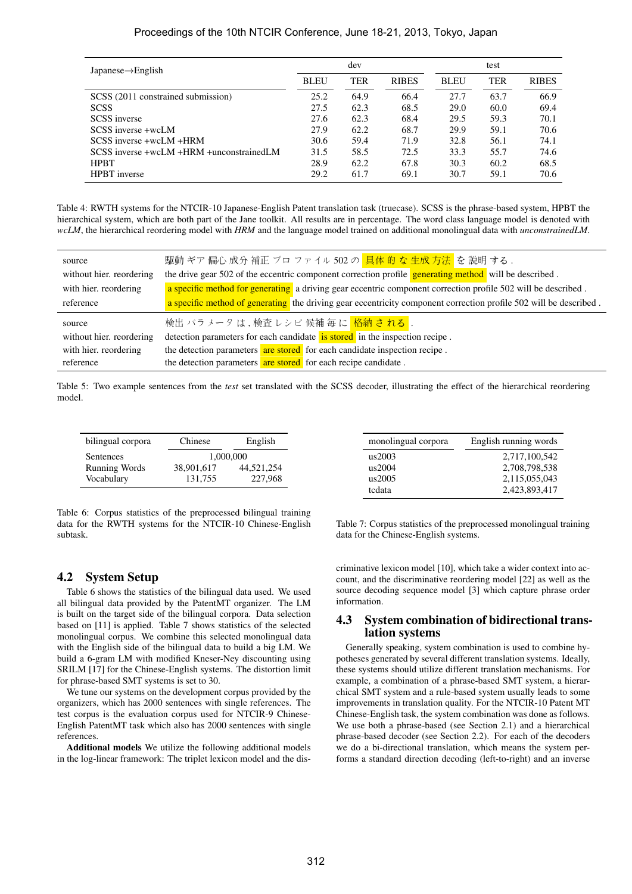#### Proceedings of the 10th NTCIR Conference, June 18-21, 2013, Tokyo, Japan

| Japanese $\rightarrow$ English           | dev         |      |              | test        |      |              |
|------------------------------------------|-------------|------|--------------|-------------|------|--------------|
|                                          | <b>BLEU</b> | TER  | <b>RIBES</b> | <b>BLEU</b> | TER  | <b>RIBES</b> |
| SCSS (2011 constrained submission)       | 25.2        | 64.9 | 66.4         | 27.7        | 63.7 | 66.9         |
| <b>SCSS</b>                              | 27.5        | 62.3 | 68.5         | 29.0        | 60.0 | 69.4         |
| <b>SCSS</b> inverse                      | 27.6        | 62.3 | 68.4         | 29.5        | 59.3 | 70.1         |
| SCSS inverse +wcLM                       | 27.9        | 62.2 | 68.7         | 29.9        | 59.1 | 70.6         |
| SCSS inverse +wcLM +HRM                  | 30.6        | 59.4 | 71.9         | 32.8        | 56.1 | 74.1         |
| SCSS inverse +wcLM +HRM +unconstrainedLM | 31.5        | 58.5 | 72.5         | 33.3        | 55.7 | 74.6         |
| <b>HPBT</b>                              | 28.9        | 62.2 | 67.8         | 30.3        | 60.2 | 68.5         |
| <b>HPBT</b> inverse                      | 29.2        | 61.7 | 69.1         | 30.7        | 59.1 | 70.6         |

Table 4: RWTH systems for the NTCIR-10 Japanese-English Patent translation task (truecase). SCSS is the phrase-based system, HPBT the hierarchical system, which are both part of the Jane toolkit. All results are in percentage. The word class language model is denoted with *wcLM*, the hierarchical reordering model with *HRM* and the language model trained on additional monolingual data with *unconstrainedLM*.

| source                   | 駆動 ギア 偏心 成分 補正 ブロ ファイル 502 の <mark>具体 的 な 生成 方法</mark> を 説明 する.                                                   |
|--------------------------|-------------------------------------------------------------------------------------------------------------------|
| without hier, reordering | the drive gear 502 of the eccentric component correction profile generating method will be described.             |
| with hier, reordering    | a specific method for generating a driving gear eccentric component correction profile 502 will be described.     |
| reference                | a specific method of generating the driving gear eccentricity component correction profile 502 will be described. |
| source                   | 検出 パラメータ は , 検査 レシピ 候補 毎 に <mark>格納 さ れる</mark> .                                                                 |
| without hier, reordering | detection parameters for each candidate is stored in the inspection recipe.                                       |
| with hier, reordering    | the detection parameters are stored for each candidate inspection recipe.                                         |
| reference                | the detection parameters are stored for each recipe candidate.                                                    |

Table 5: Two example sentences from the *test* set translated with the SCSS decoder, illustrating the effect of the hierarchical reordering model.

| bilingual corpora    | Chinese    | English    |  |
|----------------------|------------|------------|--|
| Sentences            | 1,000,000  |            |  |
| <b>Running Words</b> | 38,901,617 | 44.521.254 |  |
| Vocabulary           | 131.755    | 227,968    |  |

monolingual corpora English running words us2003 2,717,100,542 us2004 2,708,798,538 us2005 2,115,055,043 tcdata 2,423,893,417

Table 6: Corpus statistics of the preprocessed bilingual training data for the RWTH systems for the NTCIR-10 Chinese-English subtask.

Table 7: Corpus statistics of the preprocessed monolingual training data for the Chinese-English systems.

## 4.2 System Setup

Table 6 shows the statistics of the bilingual data used. We used all bilingual data provided by the PatentMT organizer. The LM is built on the target side of the bilingual corpora. Data selection based on [11] is applied. Table 7 shows statistics of the selected monolingual corpus. We combine this selected monolingual data with the English side of the bilingual data to build a big LM. We build a 6-gram LM with modified Kneser-Ney discounting using SRILM [17] for the Chinese-English systems. The distortion limit for phrase-based SMT systems is set to 30.

We tune our systems on the development corpus provided by the organizers, which has 2000 sentences with single references. The test corpus is the evaluation corpus used for NTCIR-9 Chinese-English PatentMT task which also has 2000 sentences with single references.

Additional models We utilize the following additional models in the log-linear framework: The triplet lexicon model and the discriminative lexicon model [10], which take a wider context into account, and the discriminative reordering model [22] as well as the source decoding sequence model [3] which capture phrase order information.

#### 4.3 System combination of bidirectional translation systems

Generally speaking, system combination is used to combine hypotheses generated by several different translation systems. Ideally, these systems should utilize different translation mechanisms. For example, a combination of a phrase-based SMT system, a hierarchical SMT system and a rule-based system usually leads to some improvements in translation quality. For the NTCIR-10 Patent MT Chinese-English task, the system combination was done as follows. We use both a phrase-based (see Section 2.1) and a hierarchical phrase-based decoder (see Section 2.2). For each of the decoders we do a bi-directional translation, which means the system performs a standard direction decoding (left-to-right) and an inverse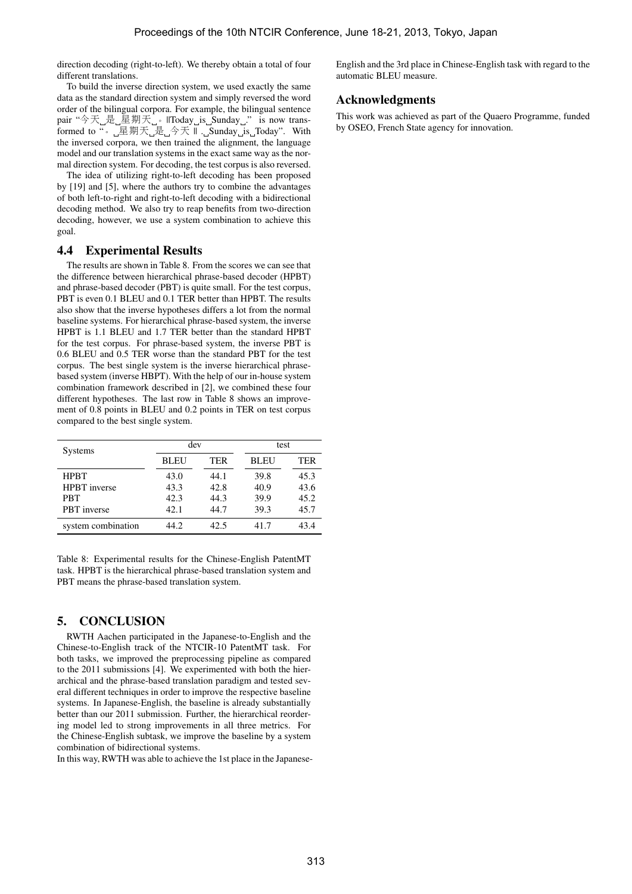direction decoding (right-to-left). We thereby obtain a total of four different translations.

To build the inverse direction system, we used exactly the same data as the standard direction system and simply reversed the word order of the bilingual corpora. For example, the bilingual sentence pair "今天」是\_星期天\_\_。||Today\_is\_Sunday\_." is now transformed to "。  $\text{I\!E}$ 期天 $\text{I\!E}$  $\text{I\!A}$  $\text{I\!B}$ . Sunday is Today". With the inversed corpora, we then trained the alignment, the language model and our translation systems in the exact same way as the normal direction system. For decoding, the test corpus is also reversed.

The idea of utilizing right-to-left decoding has been proposed by [19] and [5], where the authors try to combine the advantages of both left-to-right and right-to-left decoding with a bidirectional decoding method. We also try to reap benefits from two-direction decoding, however, we use a system combination to achieve this goal.

## 4.4 Experimental Results

The results are shown in Table 8. From the scores we can see that the difference between hierarchical phrase-based decoder (HPBT) and phrase-based decoder (PBT) is quite small. For the test corpus, PBT is even 0.1 BLEU and 0.1 TER better than HPBT. The results also show that the inverse hypotheses differs a lot from the normal baseline systems. For hierarchical phrase-based system, the inverse HPBT is 1.1 BLEU and 1.7 TER better than the standard HPBT for the test corpus. For phrase-based system, the inverse PBT is 0.6 BLEU and 0.5 TER worse than the standard PBT for the test corpus. The best single system is the inverse hierarchical phrasebased system (inverse HBPT). With the help of our in-house system combination framework described in [2], we combined these four different hypotheses. The last row in Table 8 shows an improvement of 0.8 points in BLEU and 0.2 points in TER on test corpus compared to the best single system.

| Systems             | dev         |            | test        |            |  |
|---------------------|-------------|------------|-------------|------------|--|
|                     | <b>BLEU</b> | <b>TER</b> | <b>BLEU</b> | <b>TER</b> |  |
| <b>HPRT</b>         | 43.0        | 44.1       | 39.8        | 45.3       |  |
| <b>HPBT</b> inverse | 43.3        | 42.8       | 40.9        | 43.6       |  |
| <b>PRT</b>          | 42.3        | 44.3       | 39.9        | 45.2       |  |
| <b>PBT</b> inverse  | 42.1        | 44.7       | 39.3        | 45.7       |  |
| system combination  | 44.2        | 42.5       | 41.7        | 43.4       |  |

Table 8: Experimental results for the Chinese-English PatentMT task. HPBT is the hierarchical phrase-based translation system and PBT means the phrase-based translation system.

# 5. CONCLUSION

RWTH Aachen participated in the Japanese-to-English and the Chinese-to-English track of the NTCIR-10 PatentMT task. For both tasks, we improved the preprocessing pipeline as compared to the 2011 submissions [4]. We experimented with both the hierarchical and the phrase-based translation paradigm and tested several different techniques in order to improve the respective baseline systems. In Japanese-English, the baseline is already substantially better than our 2011 submission. Further, the hierarchical reordering model led to strong improvements in all three metrics. For the Chinese-English subtask, we improve the baseline by a system combination of bidirectional systems.

In this way, RWTH was able to achieve the 1st place in the Japanese-

English and the 3rd place in Chinese-English task with regard to the automatic BLEU measure.

# Acknowledgments

This work was achieved as part of the Quaero Programme, funded by OSEO, French State agency for innovation.